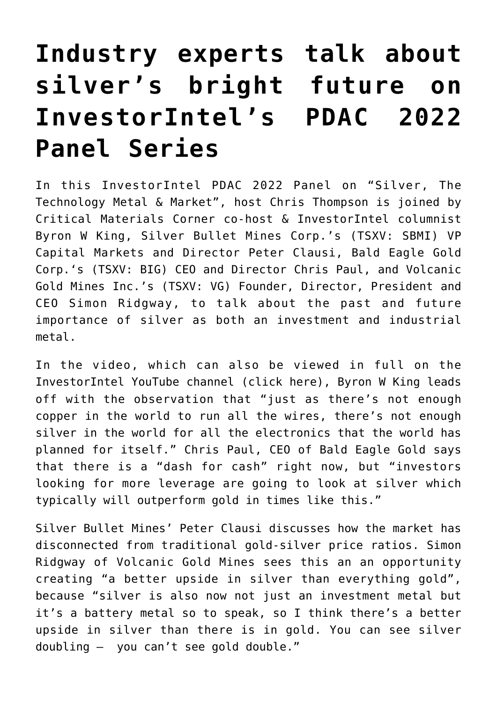## **[Industry experts talk about](https://investorintel.com/investorintel-video/industry-experts-talk-about-silvers-bright-future-on-investorintels-pdac-2022-panel-series/) [silver's bright future on](https://investorintel.com/investorintel-video/industry-experts-talk-about-silvers-bright-future-on-investorintels-pdac-2022-panel-series/) [InvestorIntel's PDAC 2022](https://investorintel.com/investorintel-video/industry-experts-talk-about-silvers-bright-future-on-investorintels-pdac-2022-panel-series/) [Panel Series](https://investorintel.com/investorintel-video/industry-experts-talk-about-silvers-bright-future-on-investorintels-pdac-2022-panel-series/)**

In this InvestorIntel PDAC 2022 Panel on "Silver, The Technology Metal & Market", host Chris Thompson is joined by Critical Materials Corner co-host & InvestorIntel columnist Byron W King, [Silver Bullet Mines Corp.'](https://www.silverbulletmines.com/)s (TSXV: SBMI) VP Capital Markets and Director Peter Clausi, [Bald Eagle Gold](https://baldeaglegold.com/) [Corp.](https://baldeaglegold.com/)'s (TSXV: BIG) CEO and Director Chris Paul, and [Volcanic](https://volgold.com/) [Gold Mines Inc.](https://volgold.com/)'s (TSXV: VG) Founder, Director, President and CEO Simon Ridgway, to talk about the past and future importance of silver as both an investment and industrial metal.

In the video, which can also be viewed in full on the InvestorIntel YouTube channel [\(click here\)](https://youtu.be/QUqdMDJdZrc), Byron W King leads off with the observation that "just as there's not enough copper in the world to run all the wires, there's not enough silver in the world for all the electronics that the world has planned for itself." Chris Paul, CEO of Bald Eagle Gold says that there is a "dash for cash" right now, but "investors looking for more leverage are going to look at silver which typically will outperform gold in times like this."

Silver Bullet Mines' Peter Clausi discusses how the market has disconnected from traditional gold-silver price ratios. Simon Ridgway of Volcanic Gold Mines sees this an an opportunity creating "a better upside in silver than everything gold", because "silver is also now not just an investment metal but it's a battery metal so to speak, so I think there's a better upside in silver than there is in gold. You can see silver doubling – you can't see gold double."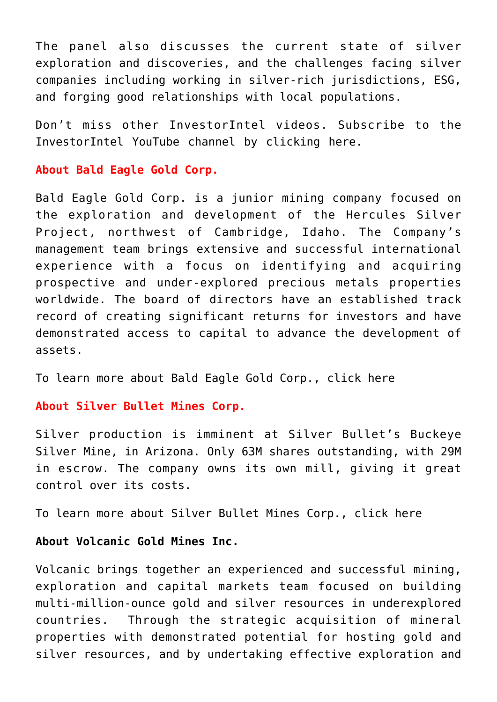The panel also discusses the current state of silver exploration and discoveries, and the challenges facing silver companies including working in silver-rich jurisdictions, ESG, and forging good relationships with local populations.

Don't miss other InvestorIntel videos. Subscribe to the InvestorIntel YouTube channel by [clicking here](https://www.youtube.com/c/InvestorIntel).

## **About Bald Eagle Gold Corp.**

Bald Eagle Gold Corp. is a junior mining company focused on the exploration and development of the Hercules Silver Project, northwest of Cambridge, Idaho. The Company's management team brings extensive and successful international experience with a focus on identifying and acquiring prospective and under-explored precious metals properties worldwide. The board of directors have an established track record of creating significant returns for investors and have demonstrated access to capital to advance the development of assets.

To learn more about Bald Eagle Gold Corp., [click here](https://www.baldeaglegold.com/)

## **About Silver Bullet Mines Corp.**

Silver production is imminent at Silver Bullet's Buckeye Silver Mine, in Arizona. Only 63M shares outstanding, with 29M in escrow. The company owns its own mill, giving it great control over its costs.

To learn more about Silver Bullet Mines Corp., [click here](https://www.silverbulletmines.com/)

## **About Volcanic Gold Mines Inc.**

Volcanic brings together an experienced and successful mining, exploration and capital markets team focused on building multi-million-ounce gold and silver resources in underexplored countries. Through the strategic acquisition of mineral properties with demonstrated potential for hosting gold and silver resources, and by undertaking effective exploration and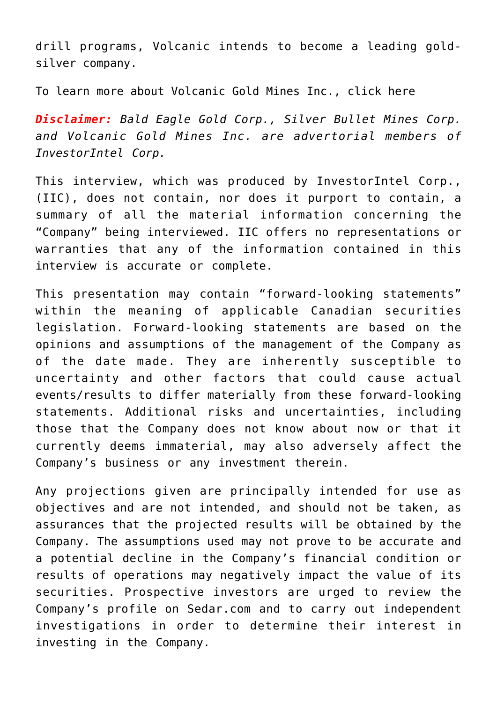drill programs, Volcanic intends to become a leading goldsilver company.

To learn more about Volcanic Gold Mines Inc., [click here](https://www.volgold.com/)

*Disclaimer: Bald Eagle Gold Corp., Silver Bullet Mines Corp. and Volcanic Gold Mines Inc. are advertorial members of InvestorIntel Corp.*

This interview, which was produced by InvestorIntel Corp., (IIC), does not contain, nor does it purport to contain, a summary of all the material information concerning the "Company" being interviewed. IIC offers no representations or warranties that any of the information contained in this interview is accurate or complete.

This presentation may contain "forward-looking statements" within the meaning of applicable Canadian securities legislation. Forward-looking statements are based on the opinions and assumptions of the management of the Company as of the date made. They are inherently susceptible to uncertainty and other factors that could cause actual events/results to differ materially from these forward-looking statements. Additional risks and uncertainties, including those that the Company does not know about now or that it currently deems immaterial, may also adversely affect the Company's business or any investment therein.

Any projections given are principally intended for use as objectives and are not intended, and should not be taken, as assurances that the projected results will be obtained by the Company. The assumptions used may not prove to be accurate and a potential decline in the Company's financial condition or results of operations may negatively impact the value of its securities. Prospective investors are urged to review the Company's profile on [Sedar.com](http://www.sedar.com/) and to carry out independent investigations in order to determine their interest in investing in the Company.